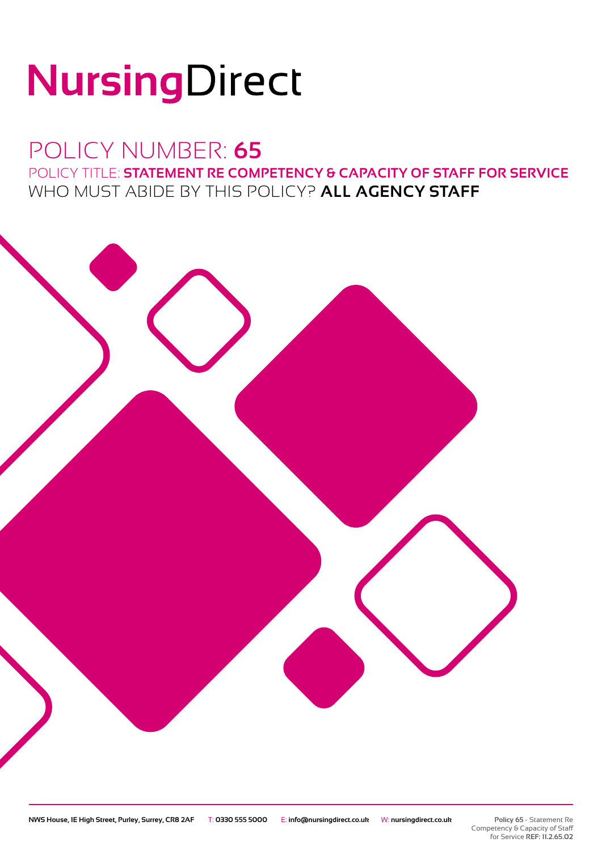# NursingDirect

## POLICY NUMBER: **65** POLICY TITLE: **STATEMENT RE COMPETENCY & CAPACITY OF STAFF FOR SERVICE** WHO MUST ABIDE BY THIS POLICY? **ALL AGENCY STAFF**